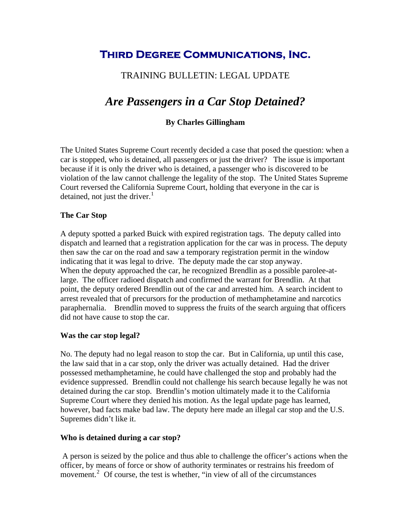## **Third Degree Communications, Inc.**

## TRAINING BULLETIN: LEGAL UPDATE

# *Are Passengers in a Car Stop Detained?*

#### **By Charles Gillingham**

The United States Supreme Court recently decided a case that posed the question: when a car is stopped, who is detained, all passengers or just the driver? The issue is important because if it is only the driver who is detained, a passenger who is discovered to be violation of the law cannot challenge the legality of the stop. The United States Supreme Court reversed the California Supreme Court, holding that everyone in the car is detained, not just the driver. $<sup>1</sup>$  $<sup>1</sup>$  $<sup>1</sup>$ </sup>

#### **The Car Stop**

A deputy spotted a parked Buick with expired registration tags. The deputy called into dispatch and learned that a registration application for the car was in process. The deputy then saw the car on the road and saw a temporary registration permit in the window indicating that it was legal to drive. The deputy made the car stop anyway. When the deputy approached the car, he recognized Brendlin as a possible parolee-atlarge. The officer radioed dispatch and confirmed the warrant for Brendlin. At that point, the deputy ordered Brendlin out of the car and arrested him. A search incident to arrest revealed that of precursors for the production of methamphetamine and narcotics paraphernalia. Brendlin moved to suppress the fruits of the search arguing that officers did not have cause to stop the car.

#### **Was the car stop legal?**

No. The deputy had no legal reason to stop the car. But in California, up until this case, the law said that in a car stop, only the driver was actually detained. Had the driver possessed methamphetamine, he could have challenged the stop and probably had the evidence suppressed. Brendlin could not challenge his search because legally he was not detained during the car stop. Brendlin's motion ultimately made it to the California Supreme Court where they denied his motion. As the legal update page has learned, however, bad facts make bad law. The deputy here made an illegal car stop and the U.S. Supremes didn't like it.

#### **Who is detained during a car stop?**

 A person is seized by the police and thus able to challenge the officer's actions when the officer, by means of force or show of authority terminates or restrains his freedom of movement.<sup>[2](#page-1-1)</sup> Of course, the test is whether, "in view of all of the circumstances"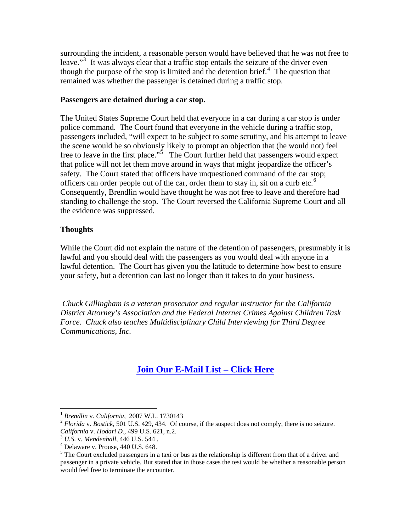<span id="page-1-1"></span>surrounding the incident, a reasonable person would have believed that he was not free to leave."<sup>[3](#page-1-1)</sup> It was always clear that a traffic stop entails the seizure of the driver even though the purpose of the stop is limited and the detention brief. $4$  The question that remained was whether the passenger is detained during a traffic stop.

#### **Passengers are detained during a car stop.**

The United States Supreme Court held that everyone in a car during a car stop is under police command. The Court found that everyone in the vehicle during a traffic stop, passengers included, "will expect to be subject to some scrutiny, and his attempt to leave the scene would be so obviously likely to prompt an objection that (he would not) feel free to leave in the first place."<sup>[5](#page-1-3)</sup> The Court further held that passengers would expect that police will not let them move around in ways that might jeopardize the officer's safety. The Court stated that officers have unquestioned command of the car stop; officers can order people out of the car, order them to stay in, sit on a curb etc.<sup>[6](#page-2-0)</sup> Consequently, Brendlin would have thought he was not free to leave and therefore had standing to challenge the stop. The Court reversed the California Supreme Court and all the evidence was suppressed.

#### **Thoughts**

While the Court did not explain the nature of the detention of passengers, presumably it is lawful and you should deal with the passengers as you would deal with anyone in a lawful detention. The Court has given you the latitude to determine how best to ensure your safety, but a detention can last no longer than it takes to do your business.

*Chuck Gillingham is a veteran prosecutor and regular instructor for the California District Attorney's Association and the Federal Internet Crimes Against Children Task Force. Chuck also teaches Multidisciplinary Child Interviewing for Third Degree Communications, Inc.* 

### **[Join Our E-Mail List – Click Here](http://www.tdcorg.com/subscribe/)**

<span id="page-1-0"></span> $1$  Brendlin v. California, 2007 W.L. 1730143

<sup>&</sup>lt;sup>2</sup> *Florida* v. *Bostick*, 501 U.S. 429, 434. Of course, if the suspect does not comply, there is no seizure. *California* v. *Hodari D.*, 499 U.S. 621, n.2.<br><sup>3</sup> *U.S.* v. *Mendenhall*, 446 U.S. 544.

<span id="page-1-2"></span>Delaware v. Prouse, 440 U.S. 648.

<span id="page-1-3"></span> $<sup>5</sup>$  The Court excluded passengers in a taxi or bus as the relationship is different from that of a driver and</sup> passenger in a private vehicle. But stated that in those cases the test would be whether a reasonable person would feel free to terminate the encounter.